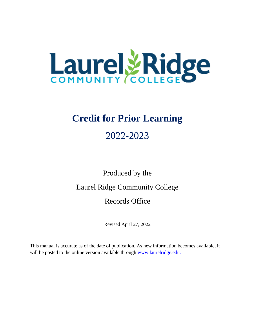

# **Credit for Prior Learning**

# 2022-2023

Produced by the

Laurel Ridge Community College

Records Office

Revised April 27, 2022

This manual is accurate as of the date of publication. As new information becomes available, it will be posted to the online version available through [www.laurelridge.edu.](http://www.laurelridge.edu/)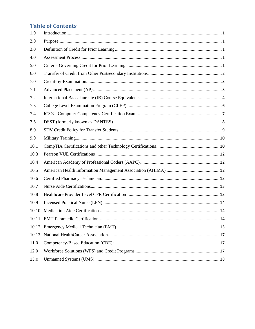## **Table of Contents**

| 1.0   |  |
|-------|--|
| 2.0   |  |
| 3.0   |  |
| 4.0   |  |
| 5.0   |  |
| 6.0   |  |
| 7.0   |  |
| 7.1   |  |
| 7.2   |  |
| 7.3   |  |
| 7.4   |  |
| 7.5   |  |
| 8.0   |  |
| 9.0   |  |
| 10.1  |  |
| 10.3  |  |
| 10.4  |  |
| 10.5  |  |
| 10.6  |  |
| 10.7  |  |
| 10.8  |  |
| 10.9  |  |
| 10.10 |  |
|       |  |
| 10.12 |  |
| 10.13 |  |
| 11.0  |  |
| 12.0  |  |
| 13.0  |  |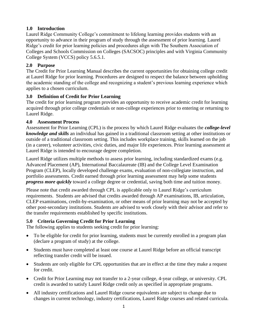## <span id="page-3-0"></span>**1.0 Introduction**

Laurel Ridge Community College's commitment to lifelong learning provides students with an opportunity to advance in their program of study through the assessment of prior learning. Laurel Ridge's credit for prior learning policies and procedures align with The Southern Association of Colleges and Schools Commission on Colleges (SACSOC) principles and with Virginia Community College System (VCCS) policy 5.6.5.1.

## <span id="page-3-1"></span>**2.0 Purpose**

The Credit for Prior Learning Manual describes the current opportunities for obtaining college credit at Laurel Ridge for prior learning. Procedures are designed to respect the balance between upholding the academic standing of the college and recognizing a student's previous learning experience which applies to a chosen curriculum.

## <span id="page-3-2"></span>**3.0 Definition of Credit for Prior Learning**

The credit for prior learning program provides an opportunity to receive academic credit for learning acquired through prior college credentials or non-college experiences prior to entering or returning to Laurel Ridge.

## <span id="page-3-3"></span>**4.0 Assessment Process**

Assessment for Prior Learning (CPL) is the process by which Laurel Ridge evaluates the *college-level knowledge and skills* an individual has gained in a traditional classroom setting at other institutions or outside of a traditional classroom setting. This includes workplace training, skills learned on the job (in a career), volunteer activities, civic duties, and major life experiences. Prior learning assessment at Laurel Ridge is intended to encourage degree completion.

Laurel Ridge utilizes multiple methods to assess prior learning, including standardized exams (e.g. Advanced Placement (AP), International Baccalaureate (IB) and the College Level Examination Program (CLEP), locally developed challenge exams, evaluation of non-collegiate instruction, and portfolio assessments. Credit earned through prior learning assessment may help some students *progress more quickly* toward a college degree or credential, saving both time and tuition money.

Please note that credit awarded through CPL is applicable only to Laurel Ridge's curriculum requirements. Students are advised that credits awarded through AP examinations, IB, articulation, CLEP examinations, credit-by-examination, or other means of prior learning may not be accepted by other post-secondary institutions. Students are advised to work closely with their advisor and refer to the transfer requirements established by specific institutions.

## <span id="page-3-4"></span>**5.0 Criteria Governing Credit for Prior Learning**

The following applies to students seeking credit for prior learning:

- To be eligible for credit for prior learning, students must be currently enrolled in a program plan (declare a program of study) at the college.
- Students must have completed at least one course at Laurel Ridge before an official transcript reflecting transfer credit will be issued.
- Students are only eligible for CPL opportunities that are in effect at the time they make a request for credit.
- Credit for Prior Learning may not transfer to a 2-year college, 4-year college, or university. CPL credit is awarded to satisfy Laurel Ridge credit only as specified in appropriate programs.
- All industry certifications and Laurel Ridge course equivalents are subject to change due to changes in current technology, industry certifications, Laurel Ridge courses and related curricula.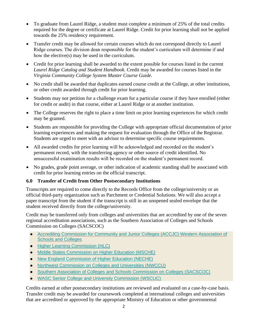- To graduate from Laurel Ridge, a student must complete a minimum of 25% of the total credits required for the degree or certificate at Laurel Ridge. Credit for prior learning shall not be applied towards the 25% residency requirement.
- Transfer credit may be allowed for certain courses which do not correspond directly to Laurel Ridge courses. The division dean responsible for the student's curriculum will determine if and how the elective(s) may be used in the curriculum.
- Credit for prior learning shall be awarded to the extent possible for courses listed in the current *Laurel Ridge Catalog and Student Handbook*. Credit may be awarded for courses listed in the *Virginia Community College System Master Course Guide.*
- No credit shall be awarded that duplicates earned course credit at the College, at other institutions, or other credit awarded through credit for prior learning.
- Students may not petition for a challenge exam for a particular course if they have enrolled (either for credit or audit) in that course, either at Laurel Ridge or at another institution.
- The College reserves the right to place a time limit on prior learning experiences for which credit may be granted.
- Students are responsible for providing the College with appropriate official documentation of prior learning experiences and making the request for evaluation through the Office of the Registrar. Students are urged to meet with an advisor to determine specific course requirements.
- All awarded credits for prior learning will be acknowledged and recorded on the student's permanent record, with the transferring agency or other source of credit identified. No unsuccessful examination results will be recorded on the student's permanent record.
- No grades, grade point average, or other indication of academic standing shall be associated with credit for prior learning entries on the official transcript.

#### <span id="page-4-0"></span>**6.0 Transfer of Credit from Other Postsecondary Institutions**

Transcripts are required to come directly to the Records Office from the college/university or an official third-party organization such as Parchment or Credential Solutions. We will also accept a paper transcript from the student if the transcript is still in an unopened sealed envelope that the student received directly from the college/university.

Credit may be transferred only from colleges and universities that are accredited by one of the seven regional accreditation associations, such as the Southern Association of Colleges and Schools Commission on Colleges (SACSCOC)

- Accrediting Commission for Community and Junior Colleges (ACCJC) Western Association of [Schools and Colleges](https://www.chea.org/regional-accrediting-organizations#western-junior)
- [Higher Learning Commission \(HLC\)](https://www.chea.org/regional-accrediting-organizations#north-central)
- [Middle States Commission on Higher Education \(MSCHE\)](https://www.chea.org/regional-accrediting-organizations#middle-states)
- [New England Commission of Higher Education \(NECHE\)](https://www.chea.org/regional-accrediting-organizations#new-england-institutions)
- [Northwest Commission on Colleges and Universities \(NWCCU\)](https://www.chea.org/regional-accrediting-organizations#northwest)
- [Southern Association of Colleges and Schools Commission on Colleges \(SACSCOC\)](https://www.chea.org/regional-accrediting-organizations#southern)
- [WASC Senior College and University Commission \(WSCUC\)](https://www.chea.org/regional-accrediting-organizations#western-senior)

Credits earned at other postsecondary institutions are reviewed and evaluated on a case-by-case basis. Transfer credit may be awarded for coursework completed at international colleges and universities that are accredited or approved by the appropriate Ministry of Education or other governmental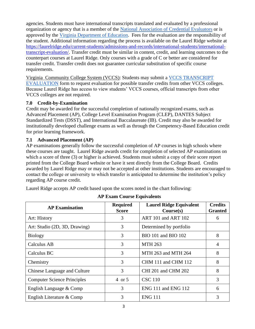agencies. Students must have international transcripts translated and evaluated by a professional organization or agency that is a member of the [National Association of Credential Evaluators](https://www.naces.org/) or is approved by the [Virginia Department of Education.](http://www.doe.virginia.gov/teaching/licensure/graduates_foreign_institutions.pdf) Fees for the evaluation are the responsibility of the student. Additional information regarding the process is available on the Laurel Ridge website at [https://laurelridge.edu/current-students/admissions-and-records/international-students/international](https://laurelridge.edu/current-students/admissions-and-records/international-students/international-transcript-evaluation/)[transcript-evaluation/.](https://laurelridge.edu/current-students/admissions-and-records/international-students/international-transcript-evaluation/) Transfer credit must be similar in content, credit, and learning outcomes to the counterpart courses at Laurel Ridge. Only courses with a grade of C or better are considered for transfer credit. Transfer credit does not guarantee curricular substitution of specific course requirements.

Virginia Community College System (VCCS): Students may submit a [VCCS TRANSCRIPT](https://lfcc.edu/wp-content/uploads/2019/11/Request-for-VCCS-Transcript-Evaluation.pdf)  [EVALUATION](https://lfcc.edu/wp-content/uploads/2019/11/Request-for-VCCS-Transcript-Evaluation.pdf) form to request evaluation for possible transfer credits from other VCCS colleges. Because Laurel Ridge has access to view students' VCCS courses, official transcripts from other VCCS colleges are not required.

#### <span id="page-5-0"></span>**7.0 Credit-by-Examination**

Credit may be awarded for the successful completion of nationally recognized exams, such as Advanced Placement (AP), College Level Examination Program (CLEP), DANTES Subject Standardized Tests (DSST), and International Baccalaureate (IB). Credit may also be awarded for institutionally developed challenge exams as well as through the Competency-Based Education credit for prior learning framework.

## <span id="page-5-1"></span>**7.1 Advanced Placement (AP)**

AP examinations generally follow the successful completion of AP courses in high schools where these courses are taught. Laurel Ridge awards credit for completion of selected AP examinations on which a score of three (3) or higher is achieved. Students must submit a copy of their score report printed from the College Board website or have it sent directly from the College Board. Credits awarded by Laurel Ridge may or may not be accepted at other institutions. Students are encouraged to contact the college or university to which transfer is anticipated to determine the institution's policy regarding AP course credit.

Laurel Ridge accepts AP credit based upon the scores noted in the chart following:

| <b>AP Examination</b>              | <b>Required</b><br><b>Score</b> | <b>Laurel Ridge Equivalent</b><br>Course(s) | <b>Credits</b><br><b>Granted</b> |
|------------------------------------|---------------------------------|---------------------------------------------|----------------------------------|
| Art: History                       | 3                               | ART 101 and ART 102                         | 6                                |
| Art: Studio (2D, 3D, Drawing)      | 3                               | Determined by portfolio                     |                                  |
| <b>Biology</b>                     | 3                               | <b>BIO 101 and BIO 102</b>                  | 8                                |
| Calculus AB                        | 3                               | <b>MTH 263</b>                              | $\overline{4}$                   |
| Calculus BC                        | 3                               | MTH 263 and MTH 264                         | 8                                |
| Chemistry                          | 3                               | CHM 111 and CHM 112                         | 8                                |
| Chinese Language and Culture       | 3                               | CHI 201 and CHM 202                         | 8                                |
| <b>Computer Science Principles</b> | 4 or 5                          | <b>CSC 110</b>                              | 3                                |
| English Language & Comp            | 3                               | ENG 111 and ENG 112                         | 6                                |
| English Literature & Comp          | 3                               | <b>ENG 111</b>                              | 3                                |

**AP Exam Course Equivalents**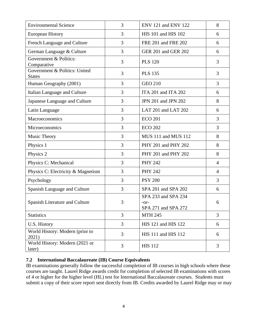| <b>Environmental Science</b>                   | 3 | ENV 121 and ENV 122                                | 8              |
|------------------------------------------------|---|----------------------------------------------------|----------------|
| <b>European History</b>                        | 3 | HIS 101 and HIS 102                                | 6              |
| French Language and Culture                    | 3 | FRE 201 and FRE 202                                | 6              |
| German Language & Culture                      | 3 | GER 201 and GER 202                                | 6              |
| Government & Politics:<br>Comparative          | 3 | <b>PLS 120</b>                                     | 3              |
| Government & Politics: United<br><b>States</b> | 3 | <b>PLS 135</b>                                     | 3              |
| Human Geography (2001)                         | 3 | <b>GEO 210</b>                                     | 3              |
| Italian Language and Culture                   | 3 | ITA 201 and ITA 202                                | 6              |
| Japanese Language and Culture                  | 3 | JPN 201 and JPN 202                                | 8              |
| Latin Language                                 | 3 | LAT 201 and LAT 202                                | 6              |
| Macroeconomics                                 | 3 | <b>ECO 201</b>                                     | 3              |
| Microeconomics                                 | 3 | <b>ECO 202</b>                                     | 3              |
| Music Theory                                   | 3 | MUS 111 and MUS 112                                | 8              |
| Physics 1                                      | 3 | PHY 201 and PHY 202                                | 8              |
| Physics 2                                      | 3 | PHY 201 and PHY 202                                | 8              |
| Physics C: Mechanical                          | 3 | <b>PHY 242</b>                                     | 4              |
| Physics C: Electricity & Magnetism             | 3 | <b>PHY 242</b>                                     | $\overline{4}$ |
| Psychology                                     | 3 | <b>PSY 200</b>                                     | 3              |
| Spanish Language and Culture                   | 3 | SPA 201 and SPA 202                                | 6              |
| Spanish Literature and Culture                 | 3 | SPA 233 and SPA 234<br>-or-<br>SPA 271 and SPA 272 | 6              |
| <b>Statistics</b>                              | 3 | <b>MTH 245</b>                                     | 3              |
| U.S. History                                   | 3 | HIS 121 and HIS 122                                | 6              |
| World History: Modern (prior to<br>2021)       | 3 | HIS 111 and HIS 112                                | 6              |
| World History: Modern (2021 or<br>later)       | 3 | <b>HIS 112</b>                                     | 3              |

#### <span id="page-6-0"></span>**7.2 International Baccalaureate (IB) Course Equivalents**

IB examinations generally follow the successful completion of IB courses in high schools where these courses are taught. Laurel Ridge awards credit for completion of selected IB examinations with scores of 4 or higher for the higher level (HL) test for International Baccalaureate courses. Students must submit a copy of their score report sent directly from IB. Credits awarded by Laurel Ridge may or may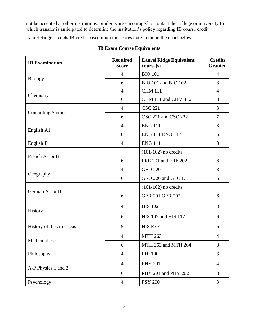not be accepted at other institutions. Students are encouraged to contact the college or university to which transfer is anticipated to determine the institution's policy regarding IB course credit.

Laurel Ridge accepts IB credit based upon the scores note in the in the chart below:

| <b>IB</b> Examination    | <b>Required</b><br><b>Score</b> | <b>Laurel Ridge Equivalent</b><br>course(s) | <b>Credits</b><br><b>Granted</b> |
|--------------------------|---------------------------------|---------------------------------------------|----------------------------------|
|                          | $\overline{4}$                  | <b>BIO 101</b>                              | $\overline{4}$                   |
| <b>Biology</b>           | 6                               | BIO 101 and BIO 102                         | 8                                |
|                          | $\overline{4}$                  | <b>CHM 111</b>                              | $\overline{4}$                   |
| Chemistry                | 6                               | CHM 111 and CHM 112                         | 8                                |
|                          | $\overline{4}$                  | <b>CSC 221</b>                              | 3                                |
| <b>Computing Studies</b> | 6                               | CSC 221 and CSC 222                         | $\overline{7}$                   |
|                          | $\overline{4}$                  | <b>ENG 111</b>                              | 3                                |
| English A1               | 6                               | <b>ENG 111 ENG 112</b>                      | 6                                |
| English B                | $\overline{4}$                  | <b>ENG 111</b>                              | 3                                |
|                          |                                 | $(101-102)$ no credits                      |                                  |
| French A1 or B           | 6                               | FRE 201 and FRE 202                         | 6                                |
|                          | $\overline{4}$                  | <b>GEO 220</b>                              | 3                                |
| Geography                | 6                               | GEO 220 and GEO EEE                         | 6                                |
|                          |                                 | $(101-102)$ no credits                      |                                  |
| German A1 or B           | 6                               | <b>GER 201 GER 202</b>                      | 6                                |
| History                  | $\overline{4}$                  | <b>HIS 102</b>                              | 3                                |
|                          | 6                               | HIS 102 and HIS 112                         | 6                                |
| History of the Americas  | 5                               | <b>HIS EEE</b>                              | 6                                |
|                          | 4                               | <b>MTH 263</b>                              | $\overline{4}$                   |
| <b>Mathematics</b>       | 6                               | MTH 263 and MTH 264                         | 8                                |
| Philosophy               | $\overline{4}$                  | <b>PHI 100</b>                              | 3                                |
| A-P Physics 1 and 2      | $\overline{4}$                  | <b>PHY 201</b>                              | $\overline{4}$                   |
|                          | 6                               | PHY 201 and PHY 202                         | 8                                |
| Psychology               | $\overline{4}$                  | <b>PSY 200</b>                              | 3                                |

#### **IB Exam Course Equivalents**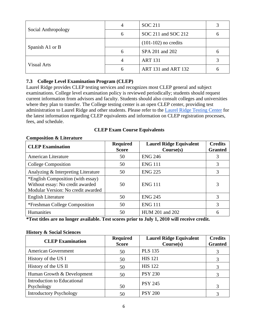|                     | 4 | <b>SOC 211</b>         |   |
|---------------------|---|------------------------|---|
| Social Anthropology | 6 | SOC 211 and SOC 212    | O |
| Spanish A1 or B     |   | $(101-102)$ no credits |   |
|                     | 6 | SPA 201 and 202        |   |
| <b>Visual Arts</b>  |   | <b>ART 131</b>         |   |
|                     | h | ART 131 and ART 132    |   |

#### <span id="page-8-0"></span>**7.3 College Level Examination Program (CLEP)**

Laurel Ridge provides CLEP testing services and recognizes most CLEP general and subject examinations. College level examination policy is reviewed periodically; students should request current information from advisors and faculty. Students should also consult colleges and universities where they plan to transfer. The College testing center is an open CLEP center, providing test administration to Laurel Ridge and other students. Please refer to the [Laurel Ridge Testing Center](https://lfcc.edu/testing/) for the latest information regarding CLEP equivalents and information on CLEP registration processes, fees, and schedule.

#### **CLEP Exam Course Equivalents**

#### **Composition & Literature**

| <b>CLEP Examination</b>                                                                                     | <b>Required</b><br><b>Score</b> | <b>Laurel Ridge Equivalent</b><br>Course(s) | <b>Credits</b><br><b>Granted</b> |
|-------------------------------------------------------------------------------------------------------------|---------------------------------|---------------------------------------------|----------------------------------|
| American Literature                                                                                         | 50                              | <b>ENG 246</b>                              | 3                                |
| College Composition                                                                                         | 50                              | <b>ENG 111</b>                              | 3                                |
| Analyzing & Interpreting Literature                                                                         | 50                              | <b>ENG 225</b>                              | 3                                |
| *English Composition (with essay)<br>Without essay: No credit awarded<br>Modular Version: No credit awarded | 50                              | <b>ENG 111</b>                              | 3                                |
| English Literature                                                                                          | 50                              | <b>ENG 245</b>                              | 3                                |
| *Freshman College Composition                                                                               | 50                              | <b>ENG 111</b>                              | 3                                |
| Humanities                                                                                                  | 50                              | HUM 201 and 202                             | 6                                |

**\*Test titles are no longer available. Test scores prior to July 1, 2010 will receive credit.** 

#### **History & Social Sciences**

| <b>CLEP Examination</b>                   | <b>Required</b><br><b>Score</b> | <b>Laurel Ridge Equivalent</b><br>Course(s) | <b>Credits</b><br><b>Granted</b> |
|-------------------------------------------|---------------------------------|---------------------------------------------|----------------------------------|
| <b>American Government</b>                | 50                              | <b>PLS 135</b>                              |                                  |
| History of the US I                       | 50                              | <b>HIS 121</b>                              | 3                                |
| History of the US II                      | 50                              | <b>HIS 122</b>                              |                                  |
| Human Growth & Development                | 50                              | <b>PSY 230</b>                              |                                  |
| Introduction to Educational<br>Psychology | 50                              | <b>PSY 245</b>                              | 3                                |
| <b>Introductory Psychology</b>            | 50                              | <b>PSY 200</b>                              |                                  |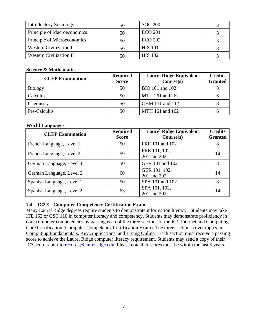| <b>Introductory Sociology</b>  | 50 | <b>SOC 200</b> |  |
|--------------------------------|----|----------------|--|
| Principle of Macroeconomics    | 50 | <b>ECO 201</b> |  |
| Principle of Microeconomics    | 50 | <b>ECO 202</b> |  |
| <b>Western Civilization I</b>  | 50 | <b>HIS</b> 101 |  |
| <b>Western Civilization II</b> |    | <b>HIS 102</b> |  |

#### **Science & Mathematics**

| <b>CLEP Examination</b> | <b>Required</b><br><b>Score</b> | <b>Laurel Ridge Equivalent</b><br>Course(s) | <b>Credits</b><br><b>Granted</b> |
|-------------------------|---------------------------------|---------------------------------------------|----------------------------------|
| <b>Biology</b>          | 50                              | BIO 101 and 102                             |                                  |
| Calculus                | 50                              | MTH 261 and 262                             |                                  |
| Chemistry               | 50                              | CHM 111 and 112                             |                                  |
| Pre-Calculus            | 50                              | MTH 161 and 162                             |                                  |

#### **World Languages**

| <b>CLEP Examination</b>   | <b>Required</b><br><b>Score</b> | <b>Laurel Ridge Equivalent</b><br>Course(s) | <b>Credits</b><br><b>Granted</b> |
|---------------------------|---------------------------------|---------------------------------------------|----------------------------------|
| French Language, Level 1  | 50                              | FRE 101 and 102                             | 8                                |
| French Language, Level 2  | 59                              | FRE 101, 102,<br>201 and 202                | 14                               |
| German Language, Level 1  | 50                              | GER 101 and 102                             | 8                                |
| German Language, Level 2  | 60                              | GER 101, 102,<br>201 and 202                | 14                               |
| Spanish Language, Level 1 | 50                              | SPA 101 and 102                             | 8                                |
| Spanish Language, Level 2 | 63                              | SPA 101, 102,<br>201 and 202                | 14                               |

## <span id="page-9-0"></span>**7.4 IC3® - Computer Competency Certification Exam**

Many Laurel Ridge degrees require students to demonstrate information literacy. Students may take ITE 152 or CSC 110 in computer literacy and competency. Students may demonstrate proficiency in core computer competencies by passing each of the three sections of the IC<sup>3</sup>- Internet and Computing Core Certification (Computer Competency Certification Exam). The three sections cover topics in [Computing Fundamentals,](http://www.certiport.com/portal/common/pagelibrary/TestObjectives_IC3Computing2005ENU.htm) [Key Applications,](http://www.certiport.com/portal/common/pagelibrary/TestObjectives_IC3Key2005ENU.htm) and [Living Online.](http://www.certiport.com/portal/common/pagelibrary/TestObjectives_IC3Living2005ENU.htm) Each section must receive a passing score to achieve the Laurel Ridge computer literacy requirement. Students may send a copy of their IC3 score report to **records** @laurelridge.edu. Please note that scores must be within the last 5 years.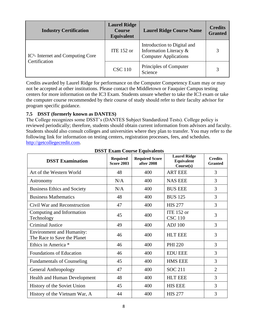| <b>Industry Certification</b>       | <b>Laurel Ridge</b><br><b>Course</b><br><b>Equivalent</b> | <b>Laurel Ridge Course Name</b>                                                       | <b>Credits</b><br><b>Granted</b> |
|-------------------------------------|-----------------------------------------------------------|---------------------------------------------------------------------------------------|----------------------------------|
| $IC3$ - Internet and Computing Core | ITE $152$ or                                              | Introduction to Digital and<br>Information Literacy &<br><b>Computer Applications</b> |                                  |
| Certification                       | <b>CSC 110</b>                                            | Principles of Computer<br>Science                                                     | 3                                |

Credits awarded by Laurel Ridge for performance on the Computer Competency Exam may or may not be accepted at other institutions. Please contact the Middletown or Fauquier Campus testing centers for more information on the IC3 Exam. Students unsure whether to take the IC3 exam or take the computer course recommended by their course of study should refer to their faculty advisor for program specific guidance.

#### <span id="page-10-0"></span>**7.5 DSST (formerly known as DANTES)**

The College recognizes some DSST's (DANTES Subject Standardized Tests). College policy is reviewed periodically; therefore, students should obtain current information from advisors and faculty. Students should also consult colleges and universities where they plan to transfer. You may refer to the following link for information on testing centers, registration processes, fees, and schedules. [http://getcollegecredit.com.](http://getcollegecredit.com/)

| <b>DSST Examination</b>                                         | <b>Required</b><br><b>Score 2003</b> | <b>Required Score</b><br>after 2008 | <b>Laurel Ridge</b><br>Equivalent<br>Course(s) | <b>Credits</b><br><b>Granted</b> |
|-----------------------------------------------------------------|--------------------------------------|-------------------------------------|------------------------------------------------|----------------------------------|
| Art of the Western World                                        | 48                                   | 400                                 | <b>ART EEE</b>                                 | 3                                |
| Astronomy                                                       | N/A                                  | 400                                 | <b>NAS EEE</b>                                 | 3                                |
| <b>Business Ethics and Society</b>                              | N/A                                  | 400                                 | <b>BUS EEE</b>                                 | 3                                |
| <b>Business Mathematics</b>                                     | 48                                   | 400                                 | <b>BUS 125</b>                                 | 3                                |
| Civil War and Reconstruction                                    | 47                                   | 400                                 | <b>HIS 277</b>                                 | 3                                |
| Computing and Information<br>Technology                         | 45                                   | 400                                 | <b>ITE 152 or</b><br><b>CSC 110</b>            | 3                                |
| <b>Criminal Justice</b>                                         | 49                                   | 400                                 | <b>ADJ</b> 100                                 | 3                                |
| <b>Environment and Humanity:</b><br>The Race to Save the Planet | 46                                   | 400                                 | <b>HLT EEE</b>                                 | 3                                |
| Ethics in America *                                             | 46                                   | 400                                 | <b>PHI 220</b>                                 | 3                                |
| Foundations of Education                                        | 46                                   | 400                                 | <b>EDU EEE</b>                                 | 3                                |
| <b>Fundamentals of Counseling</b>                               | 45                                   | 400                                 | <b>HMS EEE</b>                                 | 3                                |
| <b>General Anthropology</b>                                     | 47                                   | 400                                 | <b>SOC 211</b>                                 | $\overline{2}$                   |
| <b>Health and Human Development</b>                             | 48                                   | 400                                 | <b>HLT EEE</b>                                 | 3                                |
| History of the Soviet Union                                     | 45                                   | 400                                 | <b>HIS EEE</b>                                 | 3                                |
| History of the Vietnam War, A                                   | 44                                   | 400                                 | <b>HIS 277</b>                                 | 3                                |

**DSST Exam Course Equivalents**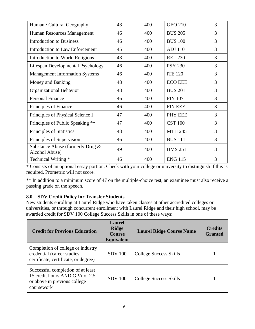| Human / Cultural Geography                         | 48 | 400 | <b>GEO 210</b> | 3 |
|----------------------------------------------------|----|-----|----------------|---|
| Human Resources Management                         | 46 | 400 | <b>BUS 205</b> | 3 |
| <b>Introduction to Business</b>                    | 46 | 400 | <b>BUS 100</b> | 3 |
| Introduction to Law Enforcement                    | 45 | 400 | <b>ADJ</b> 110 | 3 |
| Introduction to World Religions                    | 48 | 400 | <b>REL 230</b> | 3 |
| Lifespan Developmental Psychology                  | 46 | 400 | <b>PSY 230</b> | 3 |
| <b>Management Information Systems</b>              | 46 | 400 | <b>ITE 120</b> | 3 |
| Money and Banking                                  | 48 | 400 | <b>ECO EEE</b> | 3 |
| Organizational Behavior                            | 48 | 400 | <b>BUS 201</b> | 3 |
| <b>Personal Finance</b>                            | 46 | 400 | <b>FIN 107</b> | 3 |
| Principles of Finance                              | 46 | 400 | <b>FIN EEE</b> | 3 |
| Principles of Physical Science I                   | 47 | 400 | PHY EEE        | 3 |
| Principles of Public Speaking **                   | 47 | 400 | <b>CST 100</b> | 3 |
| Principles of Statistics                           | 48 | 400 | <b>MTH 245</b> | 3 |
| Principles of Supervision                          | 46 | 400 | <b>BUS 111</b> | 3 |
| Substance Abuse (formerly Drug &<br>Alcohol Abuse) | 49 | 400 | <b>HMS 251</b> | 3 |
| Technical Writing *                                | 46 | 400 | <b>ENG 115</b> | 3 |

\* Consists of an optional essay portion. Check with your college or university to distinguish if this is required. Prometric will not score.

\*\* In addition to a minimum score of 47 on the multiple-choice test, an examinee must also receive a passing grade on the speech.

## <span id="page-11-0"></span>**8.0 SDV Credit Policy for Transfer Students**

New students enrolling at Laurel Ridge who have taken classes at other accredited colleges or universities, or through concurrent enrollment with Laurel Ridge and their high school, may be awarded credit for SDV 100 College Success Skills in one of these ways:

| <b>Credit for Previous Education</b>                                                                              | <b>Laurel</b><br><b>Ridge</b><br><b>Course</b><br><b>Equivalent</b> | <b>Laurel Ridge Course Name</b> | <b>Credits</b><br><b>Granted</b> |
|-------------------------------------------------------------------------------------------------------------------|---------------------------------------------------------------------|---------------------------------|----------------------------------|
| Completion of college or industry<br>credential (career studies<br>certificate, certificate, or degree)           | <b>SDV</b> 100                                                      | College Success Skills          |                                  |
| Successful completion of at least<br>15 credit hours AND GPA of 2.5<br>or above in previous college<br>coursework | <b>SDV</b> 100                                                      | College Success Skills          |                                  |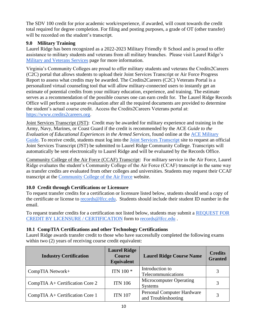The SDV 100 credit for prior academic work/experience, if awarded, will count towards the credit total required for degree completion. For filing and posting purposes, a grade of OT (other transfer) will be recorded on the student's transcript.

## <span id="page-12-0"></span>**9.0 Military Training**

Laurel Ridge has been recognized as a 2022-2023 Military Friendly ® School and is proud to offer assistance to military students and veterans from all military branches. Please visit Laurel Ridge's [Military and Veterans Services](https://lfcc.edu/military-and-veterans-services/) page for more information.

Virginia's Community Colleges are proud to offer military students and veterans the Credits2Careers (C2C) portal that allows students to upload their Joint Services Transcript or Air Force Progress Report to assess what credits may be awarded. The Credits2Careers (C2C) Veterans Portal is a personalized virtual counseling tool that will allow military-connected users to instantly get an estimate of potential credits from your military education, experience, and training. The estimate serves as a recommendation of the possible courses one can earn credit for. The Laurel Ridge Records Office will perform a separate evaluation after all the required documents are provided to determine the student's actual course credit. Access the Credits2Careers Veterans portal at: [https://www.credits2careers.org](https://www.credits2careers.org/).

Joint Services Transcript (JST): Credit may be awarded for military experience and training in the Army, Navy, Marines, or Coast Guard if the credit is recommended by the ACE *Guide to the Evaluation of Educational Experiences in the Armed Services, found online at the ACE Military* [Guide.](https://www.acenet.edu/Programs-Services/Pages/Credit-Transcripts/Military-Guide-Online.aspx) To receive credit, students must log into the [Joint Services Transcript](https://jst.doded.mil/) site to request an official Joint Services Transcript (JST) be submitted to Laurel Ridge Community College. Transcripts will automatically be sent electronically to Laurel Ridge and will be evaluated by the Records Office.

Community College of the Air Force (CCAF) Transcript: For military service in the Air Force, Laurel Ridge evaluates the student's Community College of the Air Force (CCAF) transcript in the same way as transfer credits are evaluated from other colleges and universities. Students may request their CCAF transcript at the [Community College of the Air Force](https://www.airuniversity.af.edu/Barnes/CCAF) website.

## **10.0 Credit through Certifications or Licensure**

To request transfer credits for a certification or licensure listed below, students should send a copy of the certificate or license to [records@lfcc.edu.](mailto:records@lfcc.edu) Students should include their student ID number in the email.

To request transfer credits for a certification not listed below, students may submit a [REQUEST FOR](https://lfcc.edu/wp-content/uploads/2020/04/Credit-by-Licensure-or-Certification.pdf)  [CREDIT BY LICENSURE / CERTIFICATION](https://lfcc.edu/wp-content/uploads/2020/04/Credit-by-Licensure-or-Certification.pdf) form to [records@lfcc.edu](mailto:records@lfcc.edu) .

## <span id="page-12-1"></span>**10.1 CompTIA Certifications and other Technology Certifications**

Laurel Ridge awards transfer credit to those who have successfully completed the following exams within two (2) years of receiving course credit equivalent:

| <b>Industry Certification</b>     | <b>Laurel Ridge</b><br><b>Course</b><br><b>Equivalent</b> | <b>Laurel Ridge Course Name</b>                   | <b>Credits</b><br><b>Granted</b> |
|-----------------------------------|-----------------------------------------------------------|---------------------------------------------------|----------------------------------|
| CompTIA Network+                  | ITN 100 <sup>*</sup>                                      | Introduction to<br>Telecommunications             | 3                                |
| CompTIA $A+$ Certification Core 2 | <b>ITN 106</b>                                            | Microcomputer Operating<br><b>Systems</b>         | 3                                |
| CompTIA A+ Certification Core 1   | <b>ITN 107</b>                                            | Personal Computer Hardware<br>and Troubleshooting | 3                                |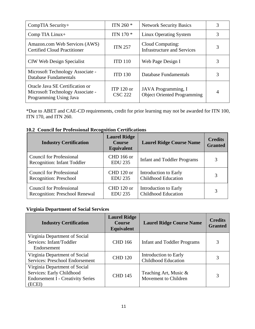| CompTIA Security+                                                                             | ITN 260 $*$                    | <b>Network Security Basics</b>                            | 3 |
|-----------------------------------------------------------------------------------------------|--------------------------------|-----------------------------------------------------------|---|
| Comp TIA Linux+                                                                               | ITN 170 <sup>*</sup>           | Linux Operating System                                    | 3 |
| Amazon.com Web Services (AWS)<br><b>Certified Cloud Practitioner</b>                          | <b>ITN 257</b>                 | Cloud Computing:<br><b>Infrastructure and Services</b>    | 3 |
| CIW Web Design Specialist                                                                     | <b>ITD 110</b>                 | Web Page Design I                                         | 3 |
| Microsoft Technology Associate -<br><b>Database Fundamentals</b>                              | <b>ITD 130</b>                 | Database Fundamentals                                     | 3 |
| Oracle Java SE Certification or<br>Microsoft Technology Associate -<br>Programming Using Java | ITP $120$ or<br><b>CSC 222</b> | JAVA Programming, I<br><b>Object Oriented Programming</b> | 4 |

\*Due to ABET and CAE-CD requirements, credit for prior learning may not be awarded for ITN 100, ITN 170, and ITN 260.

|  |  |  |  |  | <b>10.2 Council for Professional Recognition Certifications</b> |
|--|--|--|--|--|-----------------------------------------------------------------|
|--|--|--|--|--|-----------------------------------------------------------------|

| <b>Industry Certification</b>                                         | <b>Laurel Ridge</b><br><b>Course</b><br>Equivalent | <b>Laurel Ridge Course Name</b>    | <b>Credits</b><br><b>Granted</b> |
|-----------------------------------------------------------------------|----------------------------------------------------|------------------------------------|----------------------------------|
| <b>Council for Professional</b><br><b>Recognition: Infant Toddler</b> | <b>CHD</b> 166 or<br><b>EDU 235</b>                | <b>Infant and Toddler Programs</b> | 3                                |
| <b>Council for Professional</b>                                       | CHD 120 or                                         | Introduction to Early              | 3                                |
| Recognition: Preschool                                                | <b>EDU 235</b>                                     | <b>Childhood Education</b>         |                                  |
| <b>Council for Professional</b>                                       | CHD 120 or                                         | Introduction to Early              | 3                                |
| <b>Recognition: Preschool Renewal</b>                                 | <b>EDU 235</b>                                     | <b>Childhood Education</b>         |                                  |

## **Virginia Department of Social Services**

| <b>Industry Certification</b>                                                                                    | <b>Laurel Ridge</b><br><b>Course</b><br>Equivalent | <b>Laurel Ridge Course Name</b>                     | <b>Credits</b><br><b>Granted</b> |
|------------------------------------------------------------------------------------------------------------------|----------------------------------------------------|-----------------------------------------------------|----------------------------------|
| Virginia Department of Social<br>Services: Infant/Toddler<br>Endorsement                                         | <b>CHD 166</b>                                     | Infant and Toddler Programs                         | 3                                |
| Virginia Department of Social<br>Services: Preschool Endorsement                                                 | <b>CHD 120</b>                                     | Introduction to Early<br><b>Childhood Education</b> | 3                                |
| Virginia Department of Social<br>Services: Early Childhood<br><b>Endorsement I - Creativity Series</b><br>(ECEI) | <b>CHD 145</b>                                     | Teaching Art, Music &<br>Movement to Children       | 3                                |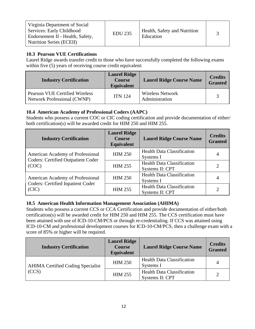#### <span id="page-14-0"></span>**10.3 Pearson VUE Certifications**

Laurel Ridge awards transfer credit to those who have successfully completed the following exams within five (5) years of receiving course credit equivalent:

| <b>Industry Certification</b>                                        | <b>Laurel Ridge</b><br><b>Course</b><br><b>Equivalent</b> | <b>Laurel Ridge Course Name</b>           | <b>Credits</b><br><b>Granted</b> |
|----------------------------------------------------------------------|-----------------------------------------------------------|-------------------------------------------|----------------------------------|
| <b>Pearson VUE Certified Wireless</b><br>Network Professional (CWNP) | <b>ITN 124</b>                                            | <b>Wireless Network</b><br>Administration |                                  |

## <span id="page-14-1"></span>**10.4 American Academy of Professional Coders (AAPC)**

Students who possess a current COC or CIC coding certification and provide documentation of either/ both certification(s) will be awarded credit for HIM 250 and HIM 255.

| <b>Industry Certification</b>                                                         | <b>Laurel Ridge</b><br><b>Course</b><br>Equivalent | <b>Laurel Ridge Course Name</b>   | <b>Credits</b><br><b>Granted</b> |
|---------------------------------------------------------------------------------------|----------------------------------------------------|-----------------------------------|----------------------------------|
| American Academy of Professional                                                      | <b>HIM 250</b>                                     | <b>Health Data Classification</b> | 4                                |
| <b>Coders: Certified Outpatient Coder</b><br>(COC)                                    |                                                    | Systems I                         |                                  |
|                                                                                       | <b>HIM 255</b>                                     | <b>Health Data Classification</b> | $\overline{2}$                   |
|                                                                                       |                                                    | Systems II: CPT                   |                                  |
| American Academy of Professional<br><b>Coders: Certified Inpatient Coder</b><br>(CIC) | <b>HIM 250</b>                                     | <b>Health Data Classification</b> | 4                                |
|                                                                                       |                                                    | Systems I                         |                                  |
|                                                                                       | <b>HIM 255</b>                                     | <b>Health Data Classification</b> |                                  |
|                                                                                       |                                                    | Systems II: CPT                   |                                  |

## <span id="page-14-2"></span>**10.5 American Health Information Management Association (AHIMA)**

Students who possess a current CCS or CCA Certification and provide documentation of either/both certification(s) will be awarded credit for HIM 250 and HIM 255. The CCS certification must have been attained with use of ICD-10-CM/PCS or through re-credentialing. If CCS was attained using ICD-10-CM and professional development courses for ICD-10-CM/PCS, then a challenge exam with a score of 85% or higher will be required.

| <b>Industry Certification</b>                     | <b>Laurel Ridge</b><br><b>Course</b><br><b>Equivalent</b> | <b>Laurel Ridge Course Name</b>                      | <b>Credits</b><br><b>Granted</b> |
|---------------------------------------------------|-----------------------------------------------------------|------------------------------------------------------|----------------------------------|
| <b>AHIMA Certified Coding Specialist</b><br>(CCS) | <b>HIM 250</b>                                            | <b>Health Data Classification</b><br>Systems I       | 4                                |
|                                                   | <b>HIM 255</b>                                            | <b>Health Data Classification</b><br>Systems II: CPT | $\overline{2}$                   |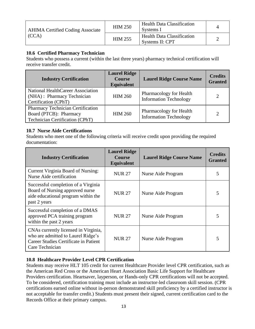| <b>AHIMA Certified Coding Associate</b> | <b>HIM 250</b> | <b>Health Data Classification</b><br>Systems I       |  |
|-----------------------------------------|----------------|------------------------------------------------------|--|
| (CCA)                                   | <b>HIM 255</b> | <b>Health Data Classification</b><br>Systems II: CPT |  |

#### <span id="page-15-0"></span>**10.6 Certified Pharmacy Technician**

Students who possess a current (within the last three years) pharmacy technical certification will receive transfer credit.

| <b>Industry Certification</b>                                                                         | <b>Laurel Ridge</b><br><b>Course</b><br><b>Equivalent</b> | <b>Laurel Ridge Course Name</b>                          | <b>Credits</b><br><b>Granted</b> |
|-------------------------------------------------------------------------------------------------------|-----------------------------------------------------------|----------------------------------------------------------|----------------------------------|
| National HealthCareer Association<br>(NHA) : Pharmacy Technician<br>Certification (CPhT)              | <b>HIM 260</b>                                            | Pharmacology for Health<br><b>Information Technology</b> |                                  |
| <b>Pharmacy Technician Certification</b><br>Board (PTCB): Pharmacy<br>Technician Certification (CPhT) | <b>HIM 260</b>                                            | Pharmacology for Health<br><b>Information Technology</b> |                                  |

#### <span id="page-15-1"></span>**10.7 Nurse Aide Certifications**

Students who meet one of the following criteria will receive credit upon providing the required documentation:

| <b>Industry Certification</b>                                                                                                          | <b>Laurel Ridge</b><br><b>Course</b><br><b>Equivalent</b> | <b>Laurel Ridge Course Name</b> | <b>Credits</b><br><b>Granted</b> |
|----------------------------------------------------------------------------------------------------------------------------------------|-----------------------------------------------------------|---------------------------------|----------------------------------|
| Current Virginia Board of Nursing:<br>Nurse Aide certification                                                                         | <b>NUR 27</b>                                             | Nurse Aide Program              | 5                                |
| Successful completion of a Virginia<br>Board of Nursing approved nurse<br>aide educational program within the<br>past 2 years          | <b>NUR 27</b>                                             | Nurse Aide Program              | 5                                |
| Successful completion of a DMAS<br>approved PCA training program<br>within the past 2 years                                            | <b>NUR 27</b>                                             | Nurse Aide Program              | 5                                |
| CNAs currently licensed in Virginia,<br>who are admitted to Laurel Ridge's<br>Career Studies Certificate in Patient<br>Care Technician | <b>NUR 27</b>                                             | Nurse Aide Program              | 5                                |

## <span id="page-15-2"></span>**10.8 Healthcare Provider Level CPR Certification**

Students may receive HLT 105 credit for current Healthcare Provider level CPR certification, such as the American Red Cross or the American Heart Association Basic Life Support for Healthcare Providers certification. Heartsaver, layperson, or Hands-only CPR certifications will not be accepted. To be considered, certification training must include an instructor-led classroom skill session. (CPR certifications earned online without in-person demonstrated skill proficiency by a certified instructor is not acceptable for transfer credit.) Students must present their signed, current certification card to the Records Office at their primary campus.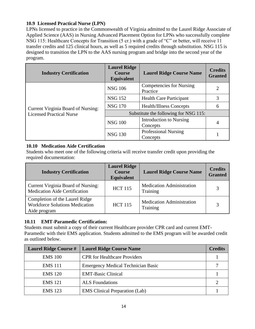#### <span id="page-16-0"></span>**10.9 Licensed Practical Nurse (LPN)**

LPNs licensed to practice in the Commonwealth of Virginia admitted to the Laurel Ridge Associate of Applied Science (AAS) in Nursing Advanced Placement Option for LPNs who successfully complete NSG 115: Healthcare Concepts for Transition (5 cr.) with a grade of "C" or better, will receive 11 transfer credits and 125 clinical hours, as well as 5 required credits through substitution. NSG 115 is designed to transition the LPN to the AAS nursing program and bridge into the second year of the program.

| <b>Industry Certification</b>      | <b>Laurel Ridge</b><br><b>Course</b><br><b>Equivalent</b> | <b>Laurel Ridge Course Name</b>             | <b>Credits</b><br><b>Granted</b> |  |
|------------------------------------|-----------------------------------------------------------|---------------------------------------------|----------------------------------|--|
| Current Virginia Board of Nursing: | <b>NSG 106</b>                                            | <b>Competencies for Nursing</b><br>Practice | $\overline{2}$                   |  |
|                                    | <b>NSG 152</b>                                            | <b>Health Care Participant</b>              | 3                                |  |
|                                    | <b>NSG 170</b>                                            | <b>Health/Illness Concepts</b>              | 6                                |  |
| <b>Licensed Practical Nurse</b>    | Substitute the following for NSG 115:                     |                                             |                                  |  |
|                                    | <b>NSG 100</b>                                            | Introduction to Nursing<br>Concepts         | 4                                |  |
|                                    | <b>NSG 130</b>                                            | <b>Professional Nursing</b><br>Concepts     |                                  |  |

#### <span id="page-16-1"></span>**10.10 Medication Aide Certification**

Students who meet one of the following criteria will receive transfer credit upon providing the required documentation:

| <b>Industry Certification</b>                                                           | <b>Laurel Ridge</b><br><b>Course</b><br><b>Equivalent</b> | <b>Laurel Ridge Course Name</b>              | <b>Credits</b><br><b>Granted</b> |
|-----------------------------------------------------------------------------------------|-----------------------------------------------------------|----------------------------------------------|----------------------------------|
| Current Virginia Board of Nursing:<br><b>Medication Aide Certification</b>              | <b>HCT 115</b>                                            | <b>Medication Administration</b><br>Training | 3                                |
| Completion of the Laurel Ridge<br><b>Workforce Solutions Medication</b><br>Aide program | <b>HCT 115</b>                                            | <b>Medication Administration</b><br>Training | 3                                |

## <span id="page-16-2"></span>**10.11 EMT-Paramedic Certification:**

Students must submit a copy of their current Healthcare provider CPR card and current EMT-Paramedic with their EMS application. Students admitted to the EMS program will be awarded credit as outlined below.

| <b>Laurel Ridge Course #</b> | Laurel Ridge Course Name                  | <b>Credits</b> |
|------------------------------|-------------------------------------------|----------------|
| <b>EMS 100</b>               | <b>CPR</b> for Healthcare Providers       |                |
| <b>EMS</b> 111               | <b>Emergency Medical Technician Basic</b> | −              |
| <b>EMS</b> 120               | <b>EMT-Basic Clinical</b>                 |                |
| <b>EMS</b> 121               | <b>ALS</b> Foundations                    |                |
| <b>EMS</b> 123               | <b>EMS</b> Clinical Preparation (Lab)     |                |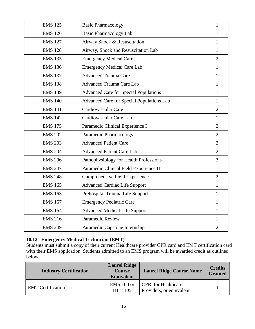| <b>EMS 125</b> | <b>Basic Pharmacology</b>                    | $\mathbf{1}$   |
|----------------|----------------------------------------------|----------------|
| <b>EMS 126</b> | <b>Basic Pharmacology Lab</b>                | $\mathbf{1}$   |
| <b>EMS 127</b> | Airway Shock & Resuscitation                 | 1              |
| <b>EMS 128</b> | Airway, Shock and Resuscitation Lab          | $\mathbf{1}$   |
| <b>EMS 135</b> | <b>Emergency Medical Care</b>                | $\overline{2}$ |
| <b>EMS 136</b> | <b>Emergency Medical Care Lab</b>            | $\mathbf{1}$   |
| <b>EMS 137</b> | <b>Advanced Trauma Care</b>                  | 1              |
| <b>EMS 138</b> | <b>Advanced Trauma Care Lab</b>              | $\mathbf{1}$   |
| <b>EMS 139</b> | <b>Advanced Care for Special Populations</b> | 1              |
| <b>EMS 140</b> | Advanced Care for Special Populations Lab    | $\mathbf{1}$   |
| <b>EMS 141</b> | Cardiovascular Care                          | $\overline{2}$ |
| <b>EMS 142</b> | Cardiovascular Care Lab                      | $\mathbf{1}$   |
| <b>EMS 175</b> | Paramedic Clinical Experience I              | $\overline{2}$ |
| <b>EMS 202</b> | Paramedic Pharmacology                       | $\overline{2}$ |
| <b>EMS 203</b> | <b>Advanced Patient Care</b>                 | $\overline{2}$ |
| <b>EMS 204</b> | <b>Advanced Patient Care Lab</b>             | $\overline{2}$ |
| <b>EMS 206</b> | Pathophysiology for Health Professions       | 3              |
| <b>EMS 247</b> | Paramedic Clinical Field Experience II       | $\mathbf{1}$   |
| <b>EMS 248</b> | Comprehensive Field Experience               | $\overline{2}$ |
| <b>EMS 165</b> | <b>Advanced Cardiac Life Support</b>         | $\mathbf{1}$   |
| <b>EMS 163</b> | Prehospital Trauma Life Support              | $\mathbf{1}$   |
| <b>EMS 167</b> | <b>Emergency Pediatric Care</b>              | $\mathbf{1}$   |
| <b>EMS 164</b> | <b>Advanced Medical Life Support</b>         | 1              |
| <b>EMS 216</b> | <b>Paramedic Review</b>                      | $\mathbf{1}$   |
| <b>EMS 249</b> | Paramedic Capstone Internship                | $\overline{2}$ |

#### <span id="page-17-0"></span>**10.12 Emergency Medical Technician (EMT)**

Students must submit a copy of their current Healthcare provider CPR card and EMT certification card with their EMS application. Students admitted to an EMS program will be awarded credit as outlined below.

| <b>Industry Certification</b> | <b>Laurel Ridge</b><br><b>Course</b><br><b>Equivalent</b> | <b>Laurel Ridge Course Name</b>                       | <b>Credits</b><br><b>Granted</b> |
|-------------------------------|-----------------------------------------------------------|-------------------------------------------------------|----------------------------------|
| <b>EMT</b> Certification      | EMS 100 or<br><b>HLT</b> 105                              | <b>CPR</b> for Healthcare<br>Providers, or equivalent |                                  |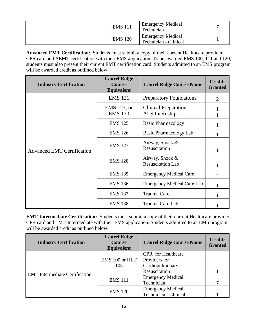| <b>EMS</b> 111 | <b>Emergency Medical</b><br>Technician            |  |
|----------------|---------------------------------------------------|--|
| <b>EMS 120</b> | <b>Emergency Medical</b><br>Technician - Clinical |  |

**Advanced EMT Certification:** Students must submit a copy of their current Healthcare provider CPR card and AEMT certification with their EMS application. To be awarded EMS 100, 111 and 120, students must also present their current EMT certification card. Students admitted to an EMS program will be awarded credit as outlined below.

| <b>Industry Certification</b>     | <b>Laurel Ridge</b><br><b>Course</b><br><b>Equivalent</b> | <b>Laurel Ridge Course Name</b>               | <b>Credits</b><br><b>Granted</b> |
|-----------------------------------|-----------------------------------------------------------|-----------------------------------------------|----------------------------------|
|                                   | <b>EMS 121</b>                                            | <b>Preparatory Foundations</b>                | $\overline{2}$                   |
|                                   | EMS 123, or<br><b>EMS 170</b>                             | <b>Clinical Preparation</b><br>ALS Internship |                                  |
|                                   | <b>EMS 125</b>                                            | <b>Basic Pharmacology</b>                     |                                  |
| <b>Advanced EMT Certification</b> | <b>EMS 126</b>                                            | Basic Pharmacology Lab                        |                                  |
|                                   | <b>EMS 127</b>                                            | Airway, Shock &<br>Resuscitation              | $\mathbf{1}$                     |
|                                   | <b>EMS 128</b>                                            | Airway, Shock &<br><b>Resuscitation Lab</b>   | 1                                |
|                                   | <b>EMS 135</b>                                            | <b>Emergency Medical Care</b>                 | 2                                |
|                                   | <b>EMS 136</b>                                            | <b>Emergency Medical Care Lab</b>             |                                  |
|                                   | <b>EMS 137</b>                                            | Trauma Care                                   |                                  |
|                                   | <b>EMS 138</b>                                            | Trauma Care Lab                               |                                  |

**EMT-Intermediate Certification:** Students must submit a copy of their current Healthcare provider CPR card and EMT-Intermediate with their EMS application. Students admitted to an EMS program will be awarded credit as outlined below.

| <b>Industry Certification</b>         | <b>Laurel Ridge</b><br><b>Course</b><br>Equivalent | <b>Laurel Ridge Course Name</b> | <b>Credits</b><br><b>Granted</b> |
|---------------------------------------|----------------------------------------------------|---------------------------------|----------------------------------|
|                                       |                                                    | <b>CPR</b> for Healthcare       |                                  |
|                                       | EMS 100 or HLT                                     | Providers, or                   |                                  |
|                                       | 105                                                | Cardiopulmonary                 |                                  |
|                                       |                                                    | Resuscitation                   |                                  |
| <b>EMT</b> Intermediate Certification |                                                    | <b>Emergency Medical</b>        |                                  |
|                                       | <b>EMS</b> 111                                     | Technician                      | 7                                |
|                                       | <b>EMS</b> 120                                     | <b>Emergency Medical</b>        |                                  |
|                                       |                                                    | Technician - Clinical           |                                  |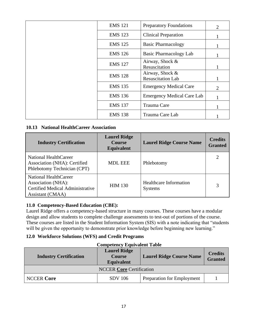| <b>EMS 121</b> | <b>Preparatory Foundations</b>              | $\overline{2}$ |
|----------------|---------------------------------------------|----------------|
| <b>EMS 123</b> | <b>Clinical Preparation</b>                 |                |
| <b>EMS 125</b> | <b>Basic Pharmacology</b>                   |                |
| <b>EMS 126</b> | Basic Pharmacology Lab                      |                |
| <b>EMS 127</b> | Airway, Shock &<br>Resuscitation            |                |
| <b>EMS 128</b> | Airway, Shock &<br><b>Resuscitation Lab</b> |                |
| <b>EMS 135</b> | <b>Emergency Medical Care</b>               | $\overline{2}$ |
| <b>EMS 136</b> | <b>Emergency Medical Care Lab</b>           |                |
| <b>EMS 137</b> | Trauma Care                                 |                |
| <b>EMS 138</b> | Trauma Care Lab                             |                |

#### <span id="page-19-0"></span>**10.13 National HealthCareer Association**

| <b>Industry Certification</b>                                                                       | <b>Laurel Ridge</b><br><b>Course</b><br>Equivalent | <b>Laurel Ridge Course Name</b>                 | <b>Credits</b><br><b>Granted</b> |
|-----------------------------------------------------------------------------------------------------|----------------------------------------------------|-------------------------------------------------|----------------------------------|
| National HealthCareer<br>Association (NHA): Certified<br>Phlebotomy Technician (CPT)                | <b>MDL EEE</b>                                     | Phlebotomy                                      | 2                                |
| National HealthCareer<br>Association (NHA):<br>Certified Medical Administrative<br>Assistant (CMAA) | <b>HIM 130</b>                                     | <b>Healthcare Information</b><br><b>Systems</b> | 3                                |

## <span id="page-19-1"></span>**11.0 Competency-Based Education (CBE):**

Laurel Ridge offers a competency-based structure in many courses. These courses have a modular design and allow students to complete challenge assessments to test-out of portions of the course. These courses are listed in the Student Information System (SIS) with a note indicating that "students will be given the opportunity to demonstrate prior knowledge before beginning new learning."

#### <span id="page-19-2"></span>**12.0 Workforce Solutions (WFS) and Credit Programs**

| <b>Industry Certification</b>   | <b>Laurel Ridge</b><br><b>Course</b><br><b>Equivalent</b> | <b>Laurel Ridge Course Name</b> | <b>Credits</b><br><b>Granted</b> |  |  |
|---------------------------------|-----------------------------------------------------------|---------------------------------|----------------------------------|--|--|
| <b>NCCER Core Certification</b> |                                                           |                                 |                                  |  |  |
| <b>NCCER Core</b>               | <b>SDV</b> 106                                            | Preparation for Employment      |                                  |  |  |

## **Competency Equivalent Table**